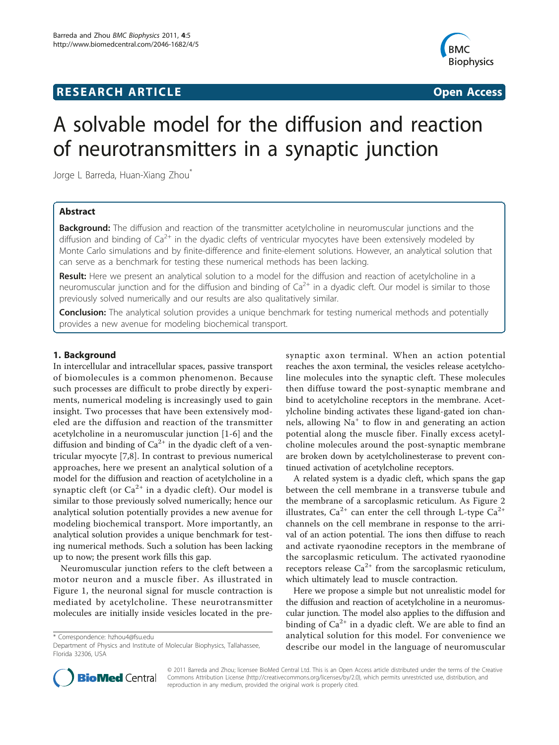## **RESEARCH ARTICLE Example 2018 12:30 THE Open Access**



# A solvable model for the diffusion and reaction of neurotransmitters in a synaptic junction

Jorge L Barreda, Huan-Xiang Zhou<sup>\*</sup>

## Abstract

**Background:** The diffusion and reaction of the transmitter acetylcholine in neuromuscular junctions and the diffusion and binding of  $Ca^{2+}$  in the dyadic clefts of ventricular myocytes have been extensively modeled by Monte Carlo simulations and by finite-difference and finite-element solutions. However, an analytical solution that can serve as a benchmark for testing these numerical methods has been lacking.

Result: Here we present an analytical solution to a model for the diffusion and reaction of acetylcholine in a neuromuscular junction and for the diffusion and binding of  $Ca^{2+}$  in a dyadic cleft. Our model is similar to those previously solved numerically and our results are also qualitatively similar.

**Conclusion:** The analytical solution provides a unique benchmark for testing numerical methods and potentially provides a new avenue for modeling biochemical transport.

## 1. Background

In intercellular and intracellular spaces, passive transport of biomolecules is a common phenomenon. Because such processes are difficult to probe directly by experiments, numerical modeling is increasingly used to gain insight. Two processes that have been extensively modeled are the diffusion and reaction of the transmitter acetylcholine in a neuromuscular junction [\[1](#page-5-0)-[6](#page-6-0)] and the diffusion and binding of  $Ca^{2+}$  in the dyadic cleft of a ventricular myocyte [[7,8\]](#page-6-0). In contrast to previous numerical approaches, here we present an analytical solution of a model for the diffusion and reaction of acetylcholine in a synaptic cleft (or  $Ca^{2+}$  in a dyadic cleft). Our model is similar to those previously solved numerically; hence our analytical solution potentially provides a new avenue for modeling biochemical transport. More importantly, an analytical solution provides a unique benchmark for testing numerical methods. Such a solution has been lacking up to now; the present work fills this gap.

Neuromuscular junction refers to the cleft between a motor neuron and a muscle fiber. As illustrated in Figure [1,](#page-1-0) the neuronal signal for muscle contraction is mediated by acetylcholine. These neurotransmitter molecules are initially inside vesicles located in the pre-

\* Correspondence: [hzhou4@fsu.edu](mailto:hzhou4@fsu.edu)

synaptic axon terminal. When an action potential reaches the axon terminal, the vesicles release acetylcholine molecules into the synaptic cleft. These molecules then diffuse toward the post-synaptic membrane and bind to acetylcholine receptors in the membrane. Acetylcholine binding activates these ligand-gated ion channels, allowing Na<sup>+</sup> to flow in and generating an action potential along the muscle fiber. Finally excess acetylcholine molecules around the post-synaptic membrane are broken down by acetylcholinesterase to prevent continued activation of acetylcholine receptors.

A related system is a dyadic cleft, which spans the gap between the cell membrane in a transverse tubule and the membrane of a sarcoplasmic reticulum. As Figure [2](#page-1-0) illustrates,  $Ca^{2+}$  can enter the cell through L-type  $Ca^{2+}$ channels on the cell membrane in response to the arrival of an action potential. The ions then diffuse to reach and activate ryaonodine receptors in the membrane of the sarcoplasmic reticulum. The activated ryaonodine receptors release  $Ca^{2+}$  from the sarcoplasmic reticulum, which ultimately lead to muscle contraction.

Here we propose a simple but not unrealistic model for the diffusion and reaction of acetylcholine in a neuromuscular junction. The model also applies to the diffusion and binding of  $Ca^{2+}$  in a dyadic cleft. We are able to find an analytical solution for this model. For convenience we describe our model in the language of neuromuscular



© 2011 Barreda and Zhou; licensee BioMed Central Ltd. This is an Open Access article distributed under the terms of the Creative Commons Attribution License [\(http://creativecommons.org/licenses/by/2.0](http://creativecommons.org/licenses/by/2.0)), which permits unrestricted use, distribution, and reproduction in any medium, provided the original work is properly cited.

Department of Physics and Institute of Molecular Biophysics, Tallahassee, Florida 32306, USA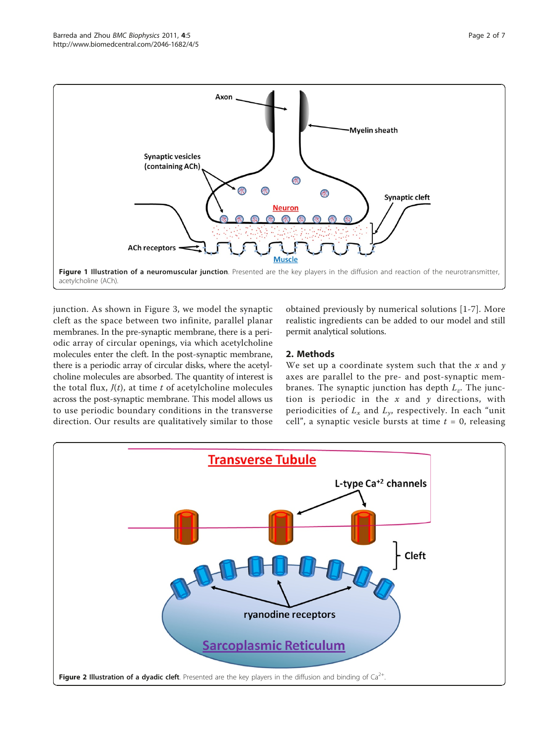<span id="page-1-0"></span>

junction. As shown in Figure [3](#page-2-0), we model the synaptic cleft as the space between two infinite, parallel planar membranes. In the pre-synaptic membrane, there is a periodic array of circular openings, via which acetylcholine molecules enter the cleft. In the post-synaptic membrane, there is a periodic array of circular disks, where the acetylcholine molecules are absorbed. The quantity of interest is the total flux,  $J(t)$ , at time t of acetylcholine molecules across the post-synaptic membrane. This model allows us to use periodic boundary conditions in the transverse direction. Our results are qualitatively similar to those

obtained previously by numerical solutions [\[1](#page-5-0)-[7](#page-6-0)]. More realistic ingredients can be added to our model and still permit analytical solutions.

## 2. Methods

We set up a coordinate system such that the  $x$  and  $y$ axes are parallel to the pre- and post-synaptic membranes. The synaptic junction has depth  $L_z$ . The junction is periodic in the  $x$  and  $y$  directions, with periodicities of  $L_x$  and  $L_y$ , respectively. In each "unit" cell", a synaptic vesicle bursts at time  $t = 0$ , releasing

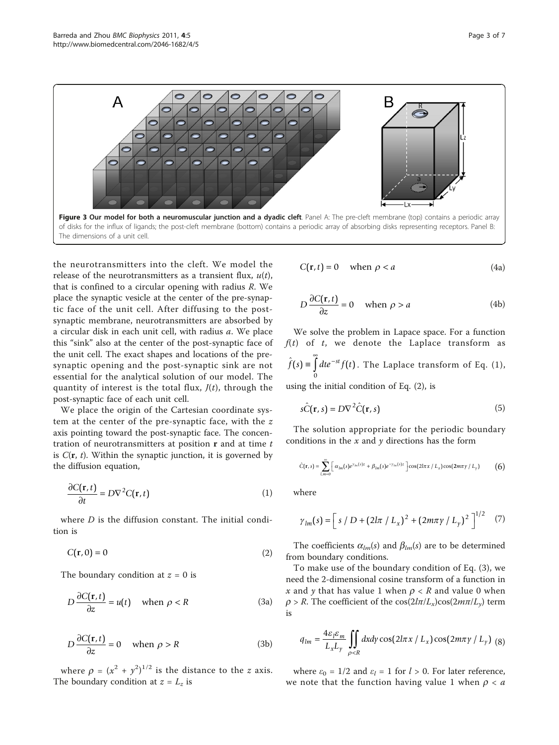<span id="page-2-0"></span>

the neurotransmitters into the cleft. We model the release of the neurotransmitters as a transient flux,  $u(t)$ , that is confined to a circular opening with radius R. We place the synaptic vesicle at the center of the pre-synaptic face of the unit cell. After diffusing to the postsynaptic membrane, neurotransmitters are absorbed by a circular disk in each unit cell, with radius a. We place this "sink" also at the center of the post-synaptic face of the unit cell. The exact shapes and locations of the presynaptic opening and the post-synaptic sink are not essential for the analytical solution of our model. The quantity of interest is the total flux,  $J(t)$ , through the post-synaptic face of each unit cell.

We place the origin of the Cartesian coordinate system at the center of the pre-synaptic face, with the z axis pointing toward the post-synaptic face. The concentration of neurotransmitters at position  $\bf{r}$  and at time  $t$ is  $C(\mathbf{r}, t)$ . Within the synaptic junction, it is governed by the diffusion equation,

$$
\frac{\partial C(\mathbf{r},t)}{\partial t} = D\nabla^2 C(\mathbf{r},t)
$$
 (1)

where *D* is the diffusion constant. The initial condition is

$$
C(\mathbf{r},0) = 0 \tag{2}
$$

The boundary condition at  $z = 0$  is

$$
D\frac{\partial C(\mathbf{r},t)}{\partial z} = u(t) \quad \text{when } \rho < R \tag{3a}
$$

$$
D\frac{\partial C(\mathbf{r},t)}{\partial z} = 0 \quad \text{when } \rho > R \tag{3b}
$$

where  $\rho = (x^2 + y^2)^{1/2}$  is the distance to the *z* axis. The boundary condition at  $z = L_z$  is

$$
C(\mathbf{r}, t) = 0 \quad \text{when } \rho < a \tag{4a}
$$

$$
D\frac{\partial C(\mathbf{r},t)}{\partial z} = 0 \quad \text{when } \rho > a \tag{4b}
$$

We solve the problem in Lapace space. For a function  $f(t)$  of t, we denote the Laplace transform as  $\hat{f}(s) \equiv \int_0^\infty dt e^{-st} f(t)$  $\int dt e^{-st} f(t)$ . The Laplace transform of Eq. (1), 0

using the initial condition of Eq. (2), is

$$
s\hat{C}(\mathbf{r},s) = D\nabla^2 \hat{C}(\mathbf{r},s)
$$
 (5)

The solution appropriate for the periodic boundary conditions in the  $x$  and  $y$  directions has the form

$$
\hat{C}(\mathbf{r},s) = \sum_{l,m=0}^{\infty} \left[ \alpha_{lm}(s)e^{\gamma_m(s)z} + \beta_{lm}(s)e^{-\gamma_{lm}(s)z} \right] \cos(2l\pi x/L_x)\cos(2m\pi y/L_y)
$$
(6)

where

$$
\gamma_{lm}(s) = \left[ s / D + (2l\pi / L_x)^2 + (2m\pi \gamma / L_y)^2 \right]^{1/2} \quad (7)
$$

The coefficients  $\alpha_{lm}(s)$  and  $\beta_{lm}(s)$  are to be determined from boundary conditions.

To make use of the boundary condition of Eq. (3), we need the 2-dimensional cosine transform of a function in x and y that has value 1 when  $\rho < R$  and value 0 when  $\rho > R$ . The coefficient of the cos( $2l\pi/L_x$ )cos( $2m\pi/L_y$ ) term is

$$
q_{lm} = \frac{4\varepsilon_l \varepsilon_m}{L_x L_y} \iint\limits_{\rho < R} dx dy \cos(2l\pi x / L_x) \cos(2m\pi y / L_y) \tag{8}
$$

where  $\varepsilon_0 = 1/2$  and  $\varepsilon_l = 1$  for  $l > 0$ . For later reference, we note that the function having value 1 when  $\rho < a$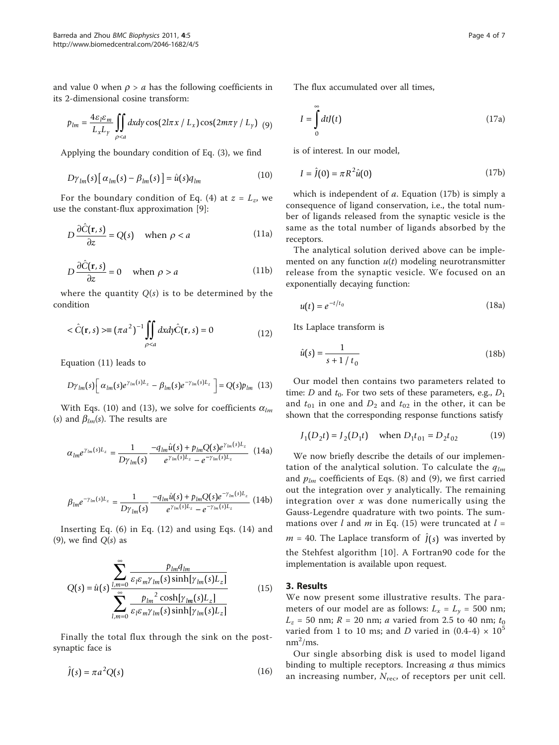and value 0 when  $\rho > a$  has the following coefficients in its 2-dimensional cosine transform:

$$
p_{lm} = \frac{4\varepsilon_l \varepsilon_m}{L_x L_y} \iint\limits_{\rho < a} dx dy \cos(2l\pi x / L_x) \cos(2m\pi y / L_y) \tag{9}
$$

Applying the boundary condition of Eq. (3), we find

$$
D\gamma_{lm}(s)\big[\alpha_{lm}(s) - \beta_{lm}(s)\big] = \hat{u}(s)q_{lm} \tag{10}
$$

For the boundary condition of Eq. (4) at  $z = L_z$ , we use the constant-flux approximation [\[9](#page-6-0)]:

$$
D\frac{\partial \hat{C}(\mathbf{r},s)}{\partial z} = Q(s) \quad \text{when } \rho < a \tag{11a}
$$

$$
D\frac{\partial \hat{C}(\mathbf{r}, s)}{\partial z} = 0 \quad \text{when } \rho > a \tag{11b}
$$

where the quantity  $Q(s)$  is to be determined by the condition

$$
\langle \hat{C}(\mathbf{r}, s) \rangle = (\pi a^2)^{-1} \iint_{\rho < a} dx dy \hat{C}(\mathbf{r}, s) = 0 \tag{12}
$$

Equation (11) leads to

$$
D\gamma_{lm}(s)\left[\alpha_{lm}(s)e^{\gamma_{lm}(s)L_z}-\beta_{lm}(s)e^{-\gamma_{lm}(s)L_z}\right]=Q(s)p_{lm} \hspace{0.2cm}(13)
$$

With Eqs. (10) and (13), we solve for coefficients  $\alpha_{lm}$ (s) and  $\beta_{lm}(s)$ . The results are

$$
\alpha_{lm}e^{\gamma_{lm}(s)L_z} = \frac{1}{D\gamma_{lm}(s)} \frac{-q_{lm}\hat{u}(s) + p_{lm}Q(s)e^{\gamma_{lm}(s)L_z}}{e^{\gamma_{lm}(s)L_z} - e^{-\gamma_{lm}(s)L_z}} \quad (14a)
$$

$$
\beta_{lm}e^{-\gamma_{lm}(s)L_z} = \frac{1}{D\gamma_{lm}(s)} \frac{-q_{lm}\hat{u}(s) + p_{lm}Q(s)e^{-\gamma_{lm}(s)L_z}}{e^{\gamma_{lm}(s)L_z} - e^{-\gamma_{lm}(s)L_z}} \tag{14b}
$$

Inserting Eq. (6) in Eq. (12) and using Eqs. (14) and (9), we find  $O(s)$  as

$$
Q(s) = \hat{u}(s) \frac{\sum_{l,m=0}^{\infty} \frac{p_{lm}q_{lm}}{\varepsilon_l \varepsilon_m \gamma_{lm}(s) \sinh[\gamma_{lm}(s)L_z]}}{\sum_{l,m=0}^{\infty} \frac{p_{lm}^2 \cosh[\gamma_{lm}(s)L_z]}{\varepsilon_l \varepsilon_m \gamma_{lm}(s) \sinh[\gamma_{lm}(s)L_z]}}
$$
(15)

Finally the total flux through the sink on the postsynaptic face is

$$
\hat{J}(s) = \pi a^2 Q(s) \tag{16}
$$

The flux accumulated over all times,

$$
I = \int_{0}^{\infty} dt J(t) \tag{17a}
$$

is of interest. In our model,

$$
I = \hat{J}(0) = \pi R^2 \hat{u}(0) \tag{17b}
$$

which is independent of  $a$ . Equation (17b) is simply a consequence of ligand conservation, i.e., the total number of ligands released from the synaptic vesicle is the same as the total number of ligands absorbed by the receptors.

The analytical solution derived above can be implemented on any function  $u(t)$  modeling neurotransmitter release from the synaptic vesicle. We focused on an exponentially decaying function:

$$
u(t) = e^{-t/t_0} \tag{18a}
$$

Its Laplace transform is

$$
\hat{u}(s) = \frac{1}{s + 1/t_0} \tag{18b}
$$

Our model then contains two parameters related to time: D and  $t_0$ . For two sets of these parameters, e.g.,  $D_1$ and  $t_{01}$  in one and  $D_2$  and  $t_{02}$  in the other, it can be shown that the corresponding response functions satisfy

$$
J_1(D_2t) = J_2(D_1t)
$$
 when  $D_1t_{01} = D_2t_{02}$  (19)

We now briefly describe the details of our implementation of the analytical solution. To calculate the  $q_{lm}$ and  $p_{lm}$  coefficients of Eqs. (8) and (9), we first carried out the integration over  $y$  analytically. The remaining integration over  $x$  was done numerically using the Gauss-Legendre quadrature with two points. The summations over l and m in Eq. (15) were truncated at  $l =$  $m = 40$ . The Laplace transform of  $\hat{J}(s)$  was inverted by the Stehfest algorithm [[10](#page-6-0)]. A Fortran90 code for the implementation is available upon request.

## 3. Results

We now present some illustrative results. The parameters of our model are as follows:  $L_x = L_y = 500$  nm;  $L_z$  = 50 nm;  $R$  = 20 nm; *a* varied from 2.5 to 40 nm;  $t_0$ varied from 1 to 10 ms; and D varied in  $(0.4-4) \times 10^5$  $nm^2/ms$ .

Our single absorbing disk is used to model ligand binding to multiple receptors. Increasing  $a$  thus mimics an increasing number,  $N_{\text{rec}}$ , of receptors per unit cell.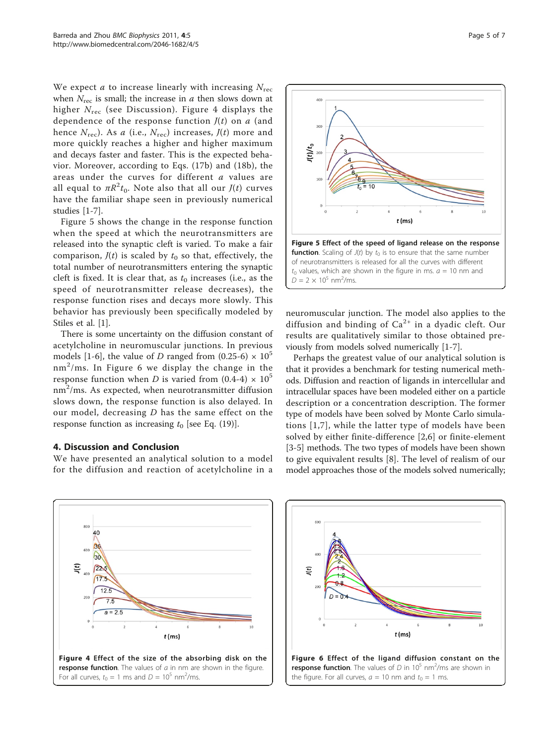We expect *a* to increase linearly with increasing  $N_{\text{rec}}$ when  $N_{\text{rec}}$  is small; the increase in *a* then slows down at higher  $N_{\text{rec}}$  (see Discussion). Figure 4 displays the dependence of the response function  $J(t)$  on a (and hence  $N_{\text{rec}}$ ). As a (i.e.,  $N_{\text{rec}}$ ) increases,  $J(t)$  more and more quickly reaches a higher and higher maximum and decays faster and faster. This is the expected behavior. Moreover, according to Eqs. (17b) and (18b), the areas under the curves for different a values are all equal to  $\pi R^2 t_0$ . Note also that all our  $J(t)$  curves have the familiar shape seen in previously numerical studies [\[1](#page-5-0)-[7](#page-6-0)].

Figure 5 shows the change in the response function when the speed at which the neurotransmitters are released into the synaptic cleft is varied. To make a fair comparison,  $J(t)$  is scaled by  $t_0$  so that, effectively, the total number of neurotransmitters entering the synaptic cleft is fixed. It is clear that, as  $t_0$  increases (i.e., as the speed of neurotransmitter release decreases), the response function rises and decays more slowly. This behavior has previously been specifically modeled by Stiles et al. [[1](#page-5-0)].

There is some uncertainty on the diffusion constant of acetylcholine in neuromuscular junctions. In previous models [[1-](#page-5-0)[6](#page-6-0)], the value of D ranged from (0.25-6)  $\times$  10<sup>5</sup>  $nm^2/ms$ . In Figure 6 we display the change in the response function when D is varied from  $(0.4-4) \times 10^5$  $\text{nm}^2/\text{ms}.$  As expected, when neurotransmitter diffusion slows down, the response function is also delayed. In our model, decreasing  $D$  has the same effect on the response function as increasing  $t_0$  [see Eq. (19)].

## 4. Discussion and Conclusion

We have presented an analytical solution to a model for the diffusion and reaction of acetylcholine in a



neuromuscular junction. The model also applies to the diffusion and binding of  $Ca^{2+}$  in a dyadic cleft. Our results are qualitatively similar to those obtained previously from models solved numerically [\[1](#page-5-0)[-7](#page-6-0)].

Perhaps the greatest value of our analytical solution is that it provides a benchmark for testing numerical methods. Diffusion and reaction of ligands in intercellular and intracellular spaces have been modeled either on a particle description or a concentration description. The former type of models have been solved by Monte Carlo simulations [\[1,](#page-5-0)[7](#page-6-0)], while the latter type of models have been solved by either finite-difference [\[2,](#page-5-0)[6\]](#page-6-0) or finite-element [[3](#page-5-0)[-5](#page-6-0)] methods. The two types of models have been shown to give equivalent results [[8\]](#page-6-0). The level of realism of our model approaches those of the models solved numerically;



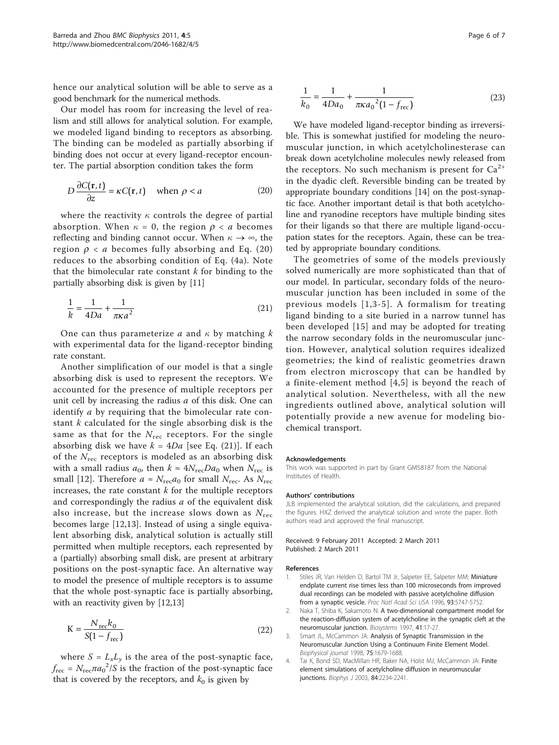<span id="page-5-0"></span>hence our analytical solution will be able to serve as a good benchmark for the numerical methods.

Our model has room for increasing the level of realism and still allows for analytical solution. For example, we modeled ligand binding to receptors as absorbing. The binding can be modeled as partially absorbing if binding does not occur at every ligand-receptor encounter. The partial absorption condition takes the form

$$
D\frac{\partial C(\mathbf{r},t)}{\partial z} = \kappa C(\mathbf{r},t) \quad \text{when } \rho < a \tag{20}
$$

where the reactivity  $\kappa$  controls the degree of partial absorption. When  $\kappa = 0$ , the region  $\rho < a$  becomes reflecting and binding cannot occur. When  $\kappa \to \infty$ , the region  $\rho < a$  becomes fully absorbing and Eq. (20) reduces to the absorbing condition of Eq. (4a). Note that the bimolecular rate constant  $k$  for binding to the partially absorbing disk is given by [\[11](#page-6-0)]

$$
\frac{1}{k} = \frac{1}{4Da} + \frac{1}{\pi \kappa a^2}
$$
 (21)

One can thus parameterize a and  $\kappa$  by matching k with experimental data for the ligand-receptor binding rate constant.

Another simplification of our model is that a single absorbing disk is used to represent the receptors. We accounted for the presence of multiple receptors per unit cell by increasing the radius  $a$  of this disk. One can identify a by requiring that the bimolecular rate constant  $k$  calculated for the single absorbing disk is the same as that for the  $N_{\text{rec}}$  receptors. For the single absorbing disk we have  $k = 4Da$  [see Eq. (21)]. If each of the  $N_{\text{rec}}$  receptors is modeled as an absorbing disk with a small radius  $a_0$ , then  $k \approx 4N_{\text{rec}}Da_0$  when  $N_{\text{rec}}$  is small [\[12](#page-6-0)]. Therefore  $a \approx N_{\text{rec}} a_0$  for small  $N_{\text{rec}}$ . As  $N_{\text{rec}}$ increases, the rate constant  $k$  for the multiple receptors and correspondingly the radius  $a$  of the equivalent disk also increase, but the increase slows down as  $N_{\rm rec}$ becomes large [[12,13](#page-6-0)]. Instead of using a single equivalent absorbing disk, analytical solution is actually still permitted when multiple receptors, each represented by a (partially) absorbing small disk, are present at arbitrary positions on the post-synaptic face. An alternative way to model the presence of multiple receptors is to assume that the whole post-synaptic face is partially absorbing, with an reactivity given by [[12](#page-6-0),[13](#page-6-0)]

$$
K = \frac{N_{\text{rec}}k_0}{S(1 - f_{\text{rec}})}
$$
(22)

where  $S = L_x L_y$  is the area of the post-synaptic face,  $f_{\text{rec}} = N_{\text{rec}} \pi a_0^2 / S$  is the fraction of the post-synaptic face that is covered by the receptors, and  $k_0$  is given by

$$
\frac{1}{k_0} = \frac{1}{4Da_0} + \frac{1}{\pi \kappa a_0^2 (1 - f_{\text{rec}})}
$$
(23)

We have modeled ligand-receptor binding as irreversible. This is somewhat justified for modeling the neuromuscular junction, in which acetylcholinesterase can break down acetylcholine molecules newly released from the receptors. No such mechanism is present for  $Ca^{2+}$ in the dyadic cleft. Reversible binding can be treated by appropriate boundary conditions [\[14](#page-6-0)] on the post-synaptic face. Another important detail is that both acetylcholine and ryanodine receptors have multiple binding sites for their ligands so that there are multiple ligand-occupation states for the receptors. Again, these can be treated by appropriate boundary conditions.

The geometries of some of the models previously solved numerically are more sophisticated than that of our model. In particular, secondary folds of the neuromuscular junction has been included in some of the previous models [1,3-[5](#page-6-0)]. A formalism for treating ligand binding to a site buried in a narrow tunnel has been developed [[15](#page-6-0)] and may be adopted for treating the narrow secondary folds in the neuromuscular junction. However, analytical solution requires idealized geometries; the kind of realistic geometries drawn from electron microscopy that can be handled by a finite-element method [4,[5\]](#page-6-0) is beyond the reach of analytical solution. Nevertheless, with all the new ingredients outlined above, analytical solution will potentially provide a new avenue for modeling biochemical transport.

#### Acknowledgements

This work was supported in part by Grant GM58187 from the National Institutes of Health.

#### Authors' contributions

JLB implemented the analytical solution, did the calculations, and prepared the figures. HXZ derived the analytical solution and wrote the paper. Both authors read and approved the final manuscript.

#### Received: 9 February 2011 Accepted: 2 March 2011 Published: 2 March 2011

#### References

- 1. Stiles JR, Van Helden D, Bartol TM Jr, Salpeter EE, Salpeter MM: Miniature endplate current rise times less than 100 microseconds from improved dual recordings can be modeled with passive acetylcholine diffusion from a synaptic vesicle. Proc Natl Acad Sci USA 1996, 93:5747-5752.
- Naka T, Shiba K, Sakamoto N: A two-dimensional compartment model for the reaction-diffusion system of acetylcholine in the synaptic cleft at the neuromuscular junction. Biosystems 1997, 41:17-27.
- 3. Smart JL, McCammon JA: Analysis of Synaptic Transmission in the Neuromuscular Junction Using a Continuum Finite Element Model. Biophysical journal 1998, 75:1679-1688.
- 4. Tai K, Bond SD, MacMillan HR, Baker NA, Holst MJ, McCammon JA: Finite element simulations of acetylcholine diffusion in neuromuscular junctions. Biophys J 2003, 84:2234-2241.